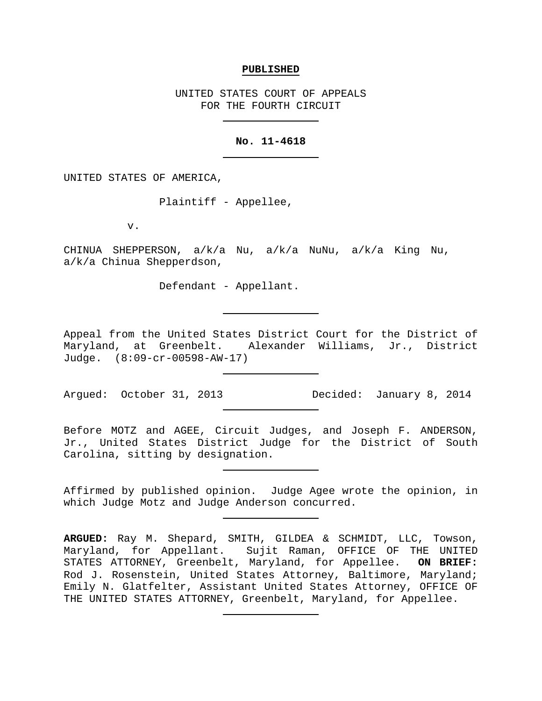#### **PUBLISHED**

UNITED STATES COURT OF APPEALS FOR THE FOURTH CIRCUIT

## **No. 11-4618**

UNITED STATES OF AMERICA,

Plaintiff - Appellee,

v.

CHINUA SHEPPERSON, a/k/a Nu, a/k/a NuNu, a/k/a King Nu, a/k/a Chinua Shepperdson,

Defendant - Appellant.

Appeal from the United States District Court for the District of Maryland, at Greenbelt. Alexander Williams, Jr., District Judge. (8:09-cr-00598-AW-17)

Argued: October 31, 2013 Decided: January 8, 2014

Before MOTZ and AGEE, Circuit Judges, and Joseph F. ANDERSON, Jr., United States District Judge for the District of South Carolina, sitting by designation.

Affirmed by published opinion. Judge Agee wrote the opinion, in which Judge Motz and Judge Anderson concurred.

**ARGUED:** Ray M. Shepard, SMITH, GILDEA & SCHMIDT, LLC, Towson, Maryland, for Appellant. Sujit Raman, OFFICE OF THE UNITED STATES ATTORNEY, Greenbelt, Maryland, for Appellee. **ON BRIEF:** Rod J. Rosenstein, United States Attorney, Baltimore, Maryland; Emily N. Glatfelter, Assistant United States Attorney, OFFICE OF THE UNITED STATES ATTORNEY, Greenbelt, Maryland, for Appellee.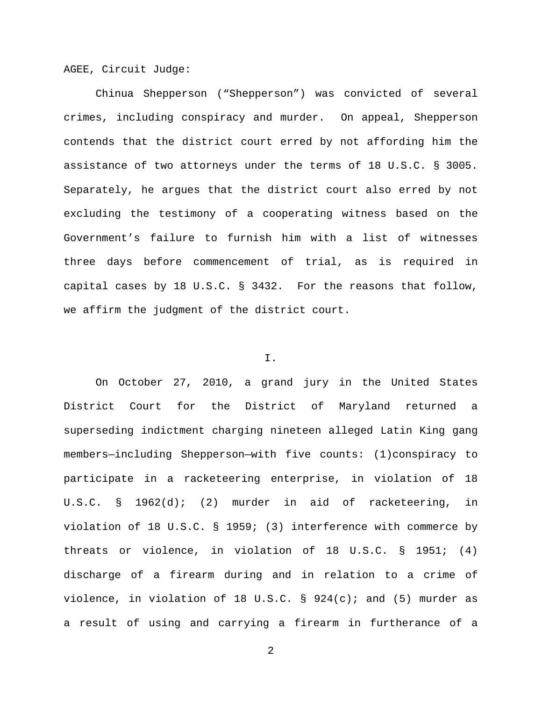AGEE, Circuit Judge:

Chinua Shepperson ("Shepperson") was convicted of several crimes, including conspiracy and murder. On appeal, Shepperson contends that the district court erred by not affording him the assistance of two attorneys under the terms of 18 U.S.C. § 3005. Separately, he argues that the district court also erred by not excluding the testimony of a cooperating witness based on the Government's failure to furnish him with a list of witnesses three days before commencement of trial, as is required in capital cases by 18 U.S.C. § 3432. For the reasons that follow, we affirm the judgment of the district court.

# I.

On October 27, 2010, a grand jury in the United States District Court for the District of Maryland returned a superseding indictment charging nineteen alleged Latin King gang members—including Shepperson—with five counts: (1)conspiracy to participate in a racketeering enterprise, in violation of 18 U.S.C. § 1962(d); (2) murder in aid of racketeering, in violation of 18 U.S.C. § 1959; (3) interference with commerce by threats or violence, in violation of 18 U.S.C. § 1951; (4) discharge of a firearm during and in relation to a crime of violence, in violation of 18 U.S.C.  $\S$  924(c); and (5) murder as a result of using and carrying a firearm in furtherance of a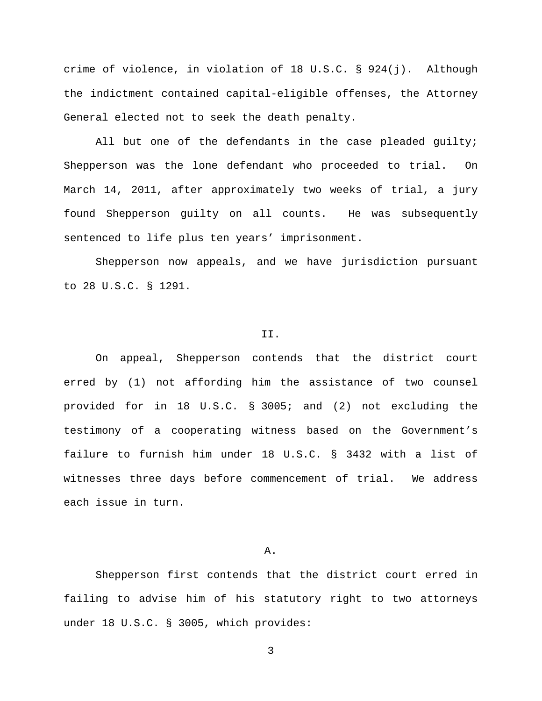crime of violence, in violation of 18 U.S.C. § 924(j). Although the indictment contained capital-eligible offenses, the Attorney General elected not to seek the death penalty.

All but one of the defendants in the case pleaded guilty; Shepperson was the lone defendant who proceeded to trial. On March 14, 2011, after approximately two weeks of trial, a jury found Shepperson guilty on all counts. He was subsequently sentenced to life plus ten years' imprisonment.

Shepperson now appeals, and we have jurisdiction pursuant to 28 U.S.C. § 1291.

#### II.

On appeal, Shepperson contends that the district court erred by (1) not affording him the assistance of two counsel provided for in 18 U.S.C. § 3005; and (2) not excluding the testimony of a cooperating witness based on the Government's failure to furnish him under 18 U.S.C. § 3432 with a list of witnesses three days before commencement of trial. We address each issue in turn.

## A.

Shepperson first contends that the district court erred in failing to advise him of his statutory right to two attorneys under 18 U.S.C. § 3005, which provides: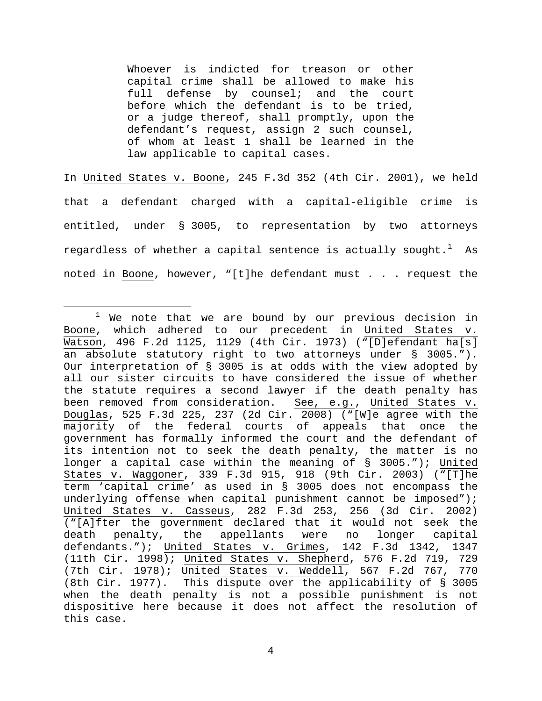Whoever is indicted for treason or other capital crime shall be allowed to make his full defense by counsel; and the court before which the defendant is to be tried, or a judge thereof, shall promptly, upon the defendant's request, assign 2 such counsel, of whom at least 1 shall be learned in the law applicable to capital cases.

In United States v. Boone, 245 F.3d 352 (4th Cir. 2001), we held that a defendant charged with a capital-eligible crime is entitled, under § 3005, to representation by two attorneys regardless of whether a capital sentence is actually sought. $^{\rm 1}$  $^{\rm 1}$  $^{\rm 1}$  As noted in Boone, however, "[t]he defendant must . . . request the

<span id="page-3-0"></span> $1$  We note that we are bound by our previous decision in Boone, which adhered to our precedent in United States v. Watson, 496 F.2d 1125, 1129 (4th Cir. 1973) ("[D]efendant ha[s] an absolute statutory right to two attorneys under § 3005."). Our interpretation of § 3005 is at odds with the view adopted by all our sister circuits to have considered the issue of whether the statute requires a second lawyer if the death penalty has been removed from consideration. See, e.g., United States v. Douglas, 525 F.3d 225, 237 (2d Cir. 2008) ("[W]e agree with the majority of the federal courts of appeals that once the government has formally informed the court and the defendant of its intention not to seek the death penalty, the matter is no longer a capital case within the meaning of § 3005."); United States v. Waggoner, 339 F.3d 915, 918 (9th Cir. 2003) ("[T]he term 'capital crime' as used in § 3005 does not encompass the underlying offense when capital punishment cannot be imposed"); United States v. Casseus, 282 F.3d 253, 256 (3d Cir. 2002) ("[A]fter the government declared that it would not seek the death penalty, the appellants were no longer capital defendants."); United States v. Grimes, 142 F.3d 1342, 1347 (11th Cir. 1998); United States v. Shepherd, 576 F.2d 719, 729 (7th Cir. 1978); United States v. Weddell, 567 F.2d 767, 770 (8th Cir. 1977). This dispute over the applicability of § 3005 when the death penalty is not a possible punishment is not dispositive here because it does not affect the resolution of this case.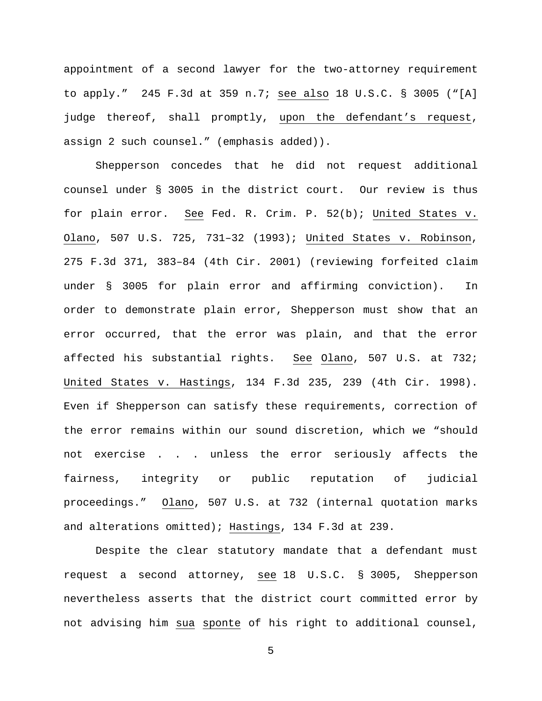appointment of a second lawyer for the two-attorney requirement to apply." 245 F.3d at 359 n.7; see also 18 U.S.C. § 3005 ("[A] judge thereof, shall promptly, upon the defendant's request, assign 2 such counsel." (emphasis added)).

Shepperson concedes that he did not request additional counsel under § 3005 in the district court. Our review is thus for plain error. See Fed. R. Crim. P. 52(b); United States v. Olano, 507 U.S. 725, 731–32 (1993); United States v. Robinson, 275 F.3d 371, 383–84 (4th Cir. 2001) (reviewing forfeited claim under § 3005 for plain error and affirming conviction). In order to demonstrate plain error, Shepperson must show that an error occurred, that the error was plain, and that the error affected his substantial rights. See Olano, 507 U.S. at 732; United States v. Hastings, 134 F.3d 235, 239 (4th Cir. 1998). Even if Shepperson can satisfy these requirements, correction of the error remains within our sound discretion, which we "should not exercise . . . unless the error seriously affects the fairness, integrity or public reputation of judicial proceedings." Olano, 507 U.S. at 732 (internal quotation marks and alterations omitted); Hastings, 134 F.3d at 239.

Despite the clear statutory mandate that a defendant must request a second attorney, see 18 U.S.C. § 3005, Shepperson nevertheless asserts that the district court committed error by not advising him sua sponte of his right to additional counsel,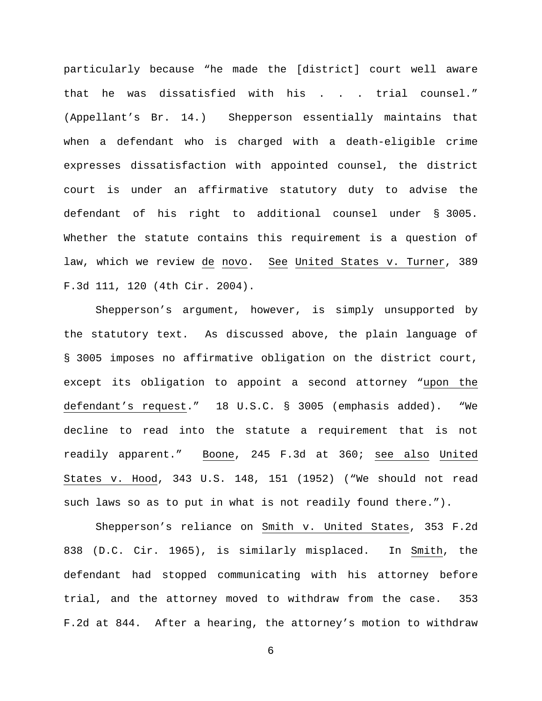particularly because "he made the [district] court well aware that he was dissatisfied with his . . . trial counsel." (Appellant's Br. 14.) Shepperson essentially maintains that when a defendant who is charged with a death-eligible crime expresses dissatisfaction with appointed counsel, the district court is under an affirmative statutory duty to advise the defendant of his right to additional counsel under § 3005. Whether the statute contains this requirement is a question of law, which we review de novo. See United States v. Turner, 389 F.3d 111, 120 (4th Cir. 2004).

Shepperson's argument, however, is simply unsupported by the statutory text. As discussed above, the plain language of § 3005 imposes no affirmative obligation on the district court, except its obligation to appoint a second attorney "upon the defendant's request." 18 U.S.C. § 3005 (emphasis added). "We decline to read into the statute a requirement that is not readily apparent." Boone, 245 F.3d at 360; see also United States v. Hood, 343 U.S. 148, 151 (1952) ("We should not read such laws so as to put in what is not readily found there.").

Shepperson's reliance on Smith v. United States, 353 F.2d 838 (D.C. Cir. 1965), is similarly misplaced. In Smith, the defendant had stopped communicating with his attorney before trial, and the attorney moved to withdraw from the case. 353 F.2d at 844. After a hearing, the attorney's motion to withdraw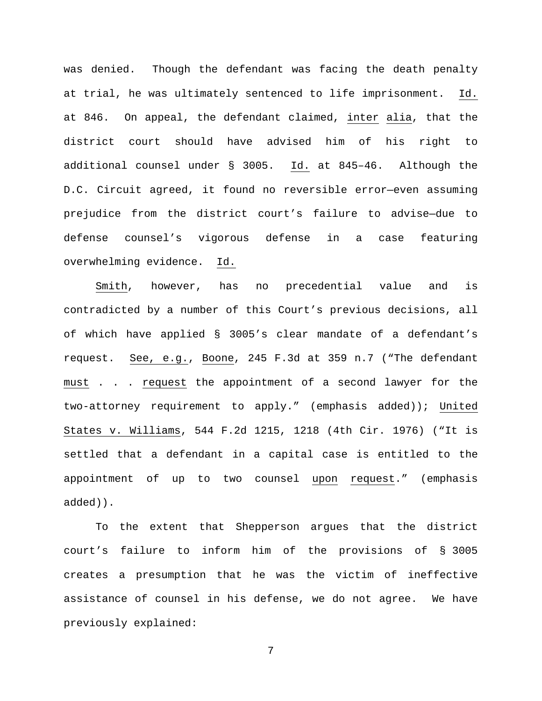was denied. Though the defendant was facing the death penalty at trial, he was ultimately sentenced to life imprisonment. Id. at 846. On appeal, the defendant claimed, inter alia, that the district court should have advised him of his right to additional counsel under § 3005. Id. at 845–46. Although the D.C. Circuit agreed, it found no reversible error—even assuming prejudice from the district court's failure to advise—due to defense counsel's vigorous defense in a case featuring overwhelming evidence. Id.

Smith, however, has no precedential value and is contradicted by a number of this Court's previous decisions, all of which have applied § 3005's clear mandate of a defendant's request. See, e.g., Boone, 245 F.3d at 359 n.7 ("The defendant must . . . request the appointment of a second lawyer for the two-attorney requirement to apply." (emphasis added)); United States v. Williams, 544 F.2d 1215, 1218 (4th Cir. 1976) ("It is settled that a defendant in a capital case is entitled to the appointment of up to two counsel upon request." (emphasis added)).

To the extent that Shepperson argues that the district court's failure to inform him of the provisions of § 3005 creates a presumption that he was the victim of ineffective assistance of counsel in his defense, we do not agree. We have previously explained: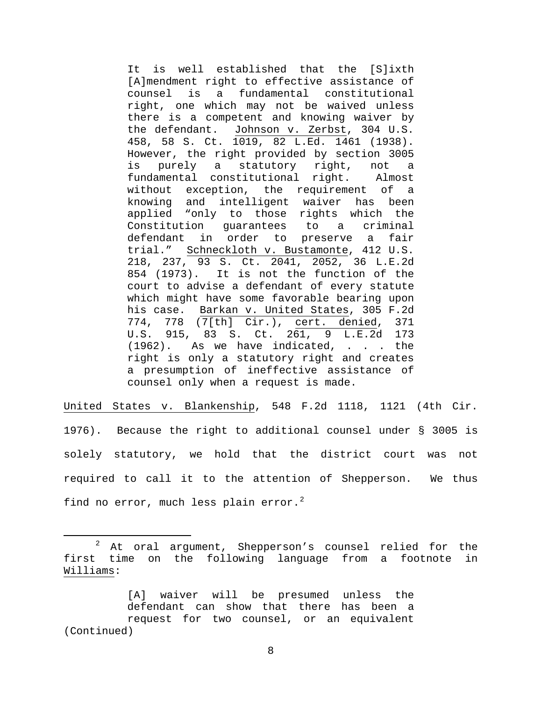It is well established that the [S]ixth [A]mendment right to effective assistance of<br>counsel is a fundamental constitutional is a fundamental constitutional right, one which may not be waived unless there is a competent and knowing waiver by the defendant. Johnson v. Zerbst, 304 U.S. 458, 58 S. Ct. 1019, 82 L.Ed. 1461 (1938). However, the right provided by section 3005<br>is purely a statutory right, not a is purely a statutory right, not a fundamental constitutional right. Almost without exception, the requirement of a knowing and intelligent waiver has been applied "only to those rights which the<br>Constitution quarantees to a criminal Constitution quarantees to a defendant in order to preserve a fair trial." Schneckloth v. Bustamonte, 412 U.S. 218, 237, 93 S. Ct. 2041, 2052, 36 L.E.2d 854 (1973). It is not the function of the court to advise a defendant of every statute which might have some favorable bearing upon his case. Barkan v. United States, 305 F.2d 774, 778  $(\overline{7[th]} \text{ Cir.})$ , cert. denied, 371<br>U.S. 915, 83 S. Ct. 261, 9 L.E.2d 173 U.S. 915, 83 S. Ct. (1962). As we have indicated, . . . the right is only a statutory right and creates a presumption of ineffective assistance of counsel only when a request is made.

United States v. Blankenship, 548 F.2d 1118, 1121 (4th Cir. 1976). Because the right to additional counsel under § 3005 is solely statutory, we hold that the district court was not required to call it to the attention of Shepperson. We thus find no error, much less plain error.<sup>[2](#page-7-0)</sup>

<span id="page-7-0"></span> $2$  At oral argument, Shepperson's counsel relied for the first time on the following language from a footnote in Williams:

<sup>[</sup>A] waiver will be presumed unless the defendant can show that there has been a request for two counsel, or an equivalent (Continued)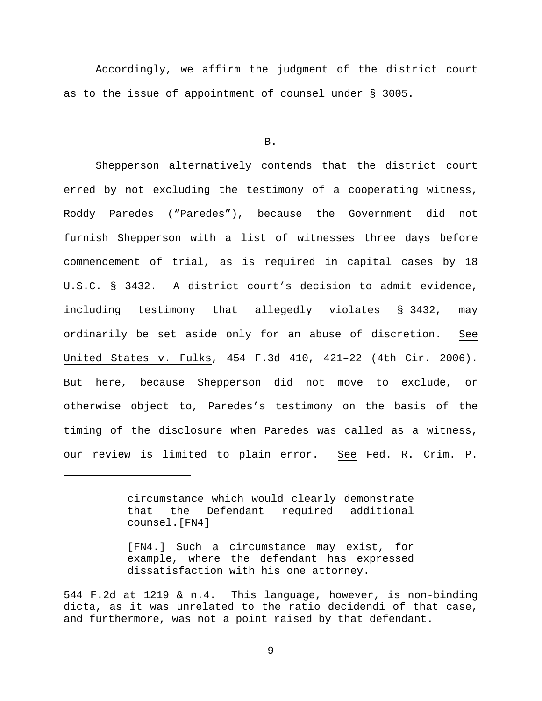Accordingly, we affirm the judgment of the district court as to the issue of appointment of counsel under § 3005.

B.

Shepperson alternatively contends that the district court erred by not excluding the testimony of a cooperating witness, Roddy Paredes ("Paredes"), because the Government did not furnish Shepperson with a list of witnesses three days before commencement of trial, as is required in capital cases by 18 U.S.C. § 3432. A district court's decision to admit evidence, including testimony that allegedly violates § 3432, may ordinarily be set aside only for an abuse of discretion. See United States v. Fulks, 454 F.3d 410, 421–22 (4th Cir. 2006). But here, because Shepperson did not move to exclude, or otherwise object to, Paredes's testimony on the basis of the timing of the disclosure when Paredes was called as a witness, our review is limited to plain error. See Fed. R. Crim. P.

> circumstance which would clearly demonstrate that the Defendant required additional counsel.[FN4]

Ĩ.

[FN4.] Such a circumstance may exist, for example, where the defendant has expressed dissatisfaction with his one attorney.

<sup>544</sup> F.2d at 1219 & n.4. This language, however, is non-binding dicta, as it was unrelated to the ratio decidendi of that case, and furthermore, was not a point raised by that defendant.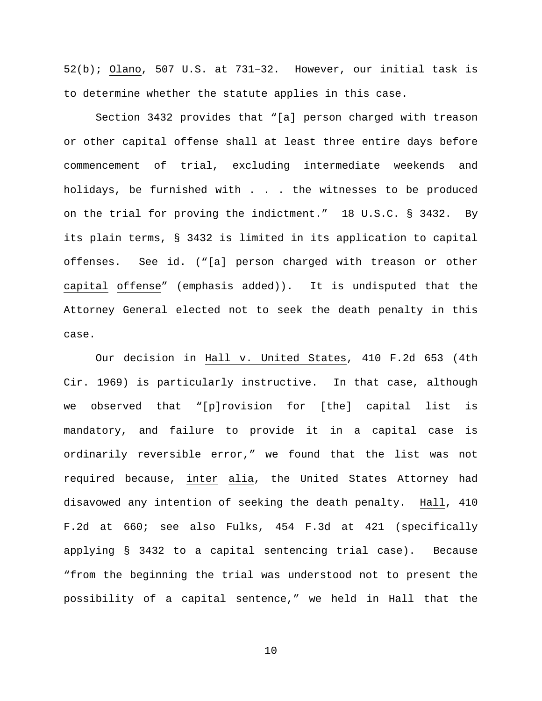52(b); Olano, 507 U.S. at 731–32. However, our initial task is to determine whether the statute applies in this case.

Section 3432 provides that "[a] person charged with treason or other capital offense shall at least three entire days before commencement of trial, excluding intermediate weekends and holidays, be furnished with . . . the witnesses to be produced on the trial for proving the indictment." 18 U.S.C. § 3432. By its plain terms, § 3432 is limited in its application to capital offenses. See id. ("[a] person charged with treason or other capital offense" (emphasis added)). It is undisputed that the Attorney General elected not to seek the death penalty in this case.

Our decision in Hall v. United States, 410 F.2d 653 (4th Cir. 1969) is particularly instructive. In that case, although we observed that "[p]rovision for [the] capital list is mandatory, and failure to provide it in a capital case is ordinarily reversible error," we found that the list was not required because, inter alia, the United States Attorney had disavowed any intention of seeking the death penalty. Hall, 410 F.2d at 660; see also Fulks, 454 F.3d at 421 (specifically applying § 3432 to a capital sentencing trial case). Because "from the beginning the trial was understood not to present the possibility of a capital sentence," we held in Hall that the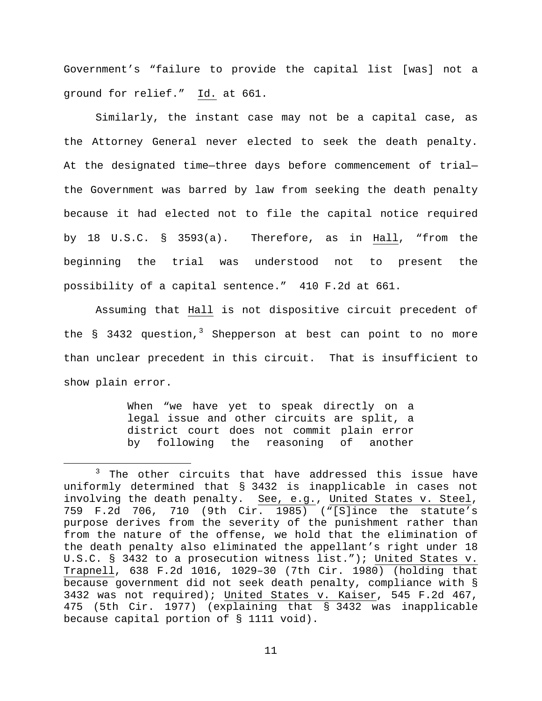Government's "failure to provide the capital list [was] not a ground for relief." Id. at 661.

Similarly, the instant case may not be a capital case, as the Attorney General never elected to seek the death penalty. At the designated time—three days before commencement of trial the Government was barred by law from seeking the death penalty because it had elected not to file the capital notice required by 18 U.S.C. § 3593(a). Therefore, as in Hall, "from the beginning the trial was understood not to present the possibility of a capital sentence." 410 F.2d at 661.

Assuming that Hall is not dispositive circuit precedent of the  $\S$  [3](#page-10-0)432 question,<sup>3</sup> Shepperson at best can point to no more than unclear precedent in this circuit. That is insufficient to show plain error.

> When "we have yet to speak directly on a legal issue and other circuits are split, a district court does not commit plain error by following the reasoning of another

<span id="page-10-0"></span><sup>&</sup>lt;sup>3</sup> The other circuits that have addressed this issue have uniformly determined that § 3432 is inapplicable in cases not involving the death penalty. See, e.g., United States v. Steel, 759 F.2d 706, 710 (9th Cir. 1985) ("[S]ince the statute's purpose derives from the severity of the punishment rather than from the nature of the offense, we hold that the elimination of the death penalty also eliminated the appellant's right under 18 U.S.C. § 3432 to a prosecution witness list."); United States v. Trapnell, 638 F.2d 1016, 1029–30 (7th Cir. 1980) (holding that because government did not seek death penalty, compliance with § 3432 was not required); United States v. Kaiser, 545 F.2d 467, 475 (5th Cir. 1977) (explaining that § 3432 was inapplicable because capital portion of § 1111 void).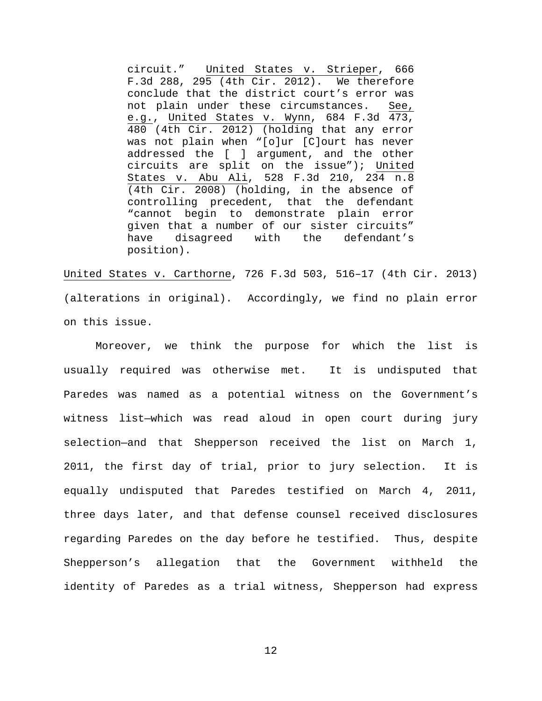circuit." United States v. Strieper, 666 F.3d 288, 295 (4th Cir. 2012). We therefore conclude that the district court's error was not plain under these circumstances. See, e.g., United States v. Wynn, 684 F.3d 473, 480 (4th Cir. 2012) (holding that any error was not plain when "[o]ur [C]ourt has never addressed the [ ] argument, and the other circuits are split on the issue"); United States v. Abu Ali, 528 F.3d 210, 234 n.8 (4th Cir. 2008) (holding, in the absence of controlling precedent, that the defendant "cannot begin to demonstrate plain error given that a number of our sister circuits" have disagreed with the defendant's position).

United States v. Carthorne, 726 F.3d 503, 516–17 (4th Cir. 2013) (alterations in original). Accordingly, we find no plain error on this issue.

Moreover, we think the purpose for which the list is usually required was otherwise met. It is undisputed that Paredes was named as a potential witness on the Government's witness list—which was read aloud in open court during jury selection—and that Shepperson received the list on March 1, 2011, the first day of trial, prior to jury selection. It is equally undisputed that Paredes testified on March 4, 2011, three days later, and that defense counsel received disclosures regarding Paredes on the day before he testified. Thus, despite Shepperson's allegation that the Government withheld the identity of Paredes as a trial witness, Shepperson had express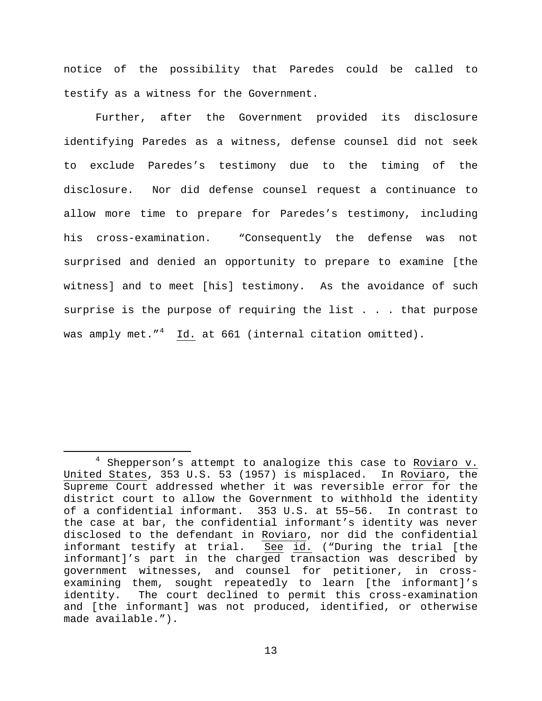notice of the possibility that Paredes could be called to testify as a witness for the Government.

Further, after the Government provided its disclosure identifying Paredes as a witness, defense counsel did not seek to exclude Paredes's testimony due to the timing of the disclosure. Nor did defense counsel request a continuance to allow more time to prepare for Paredes's testimony, including his cross-examination. "Consequently the defense was not surprised and denied an opportunity to prepare to examine [the witness] and to meet [his] testimony. As the avoidance of such surprise is the purpose of requiring the list . . . that purpose was amply met."<sup>[4](#page-12-0)</sup> Id. at 661 (internal citation omitted).

<span id="page-12-0"></span> $4$  Shepperson's attempt to analogize this case to Roviaro v. United States, 353 U.S. 53 (1957) is misplaced. In Roviaro, the Supreme Court addressed whether it was reversible error for the district court to allow the Government to withhold the identity of a confidential informant. 353 U.S. at 55–56. In contrast to the case at bar, the confidential informant's identity was never disclosed to the defendant in Roviaro, nor did the confidential informant testify at trial. See id. ("During the trial [the informant]'s part in the charged transaction was described by government witnesses, and counsel for petitioner, in crossexamining them, sought repeatedly to learn [the informant]'s identity. The court declined to permit this cross-examination and [the informant] was not produced, identified, or otherwise made available.").